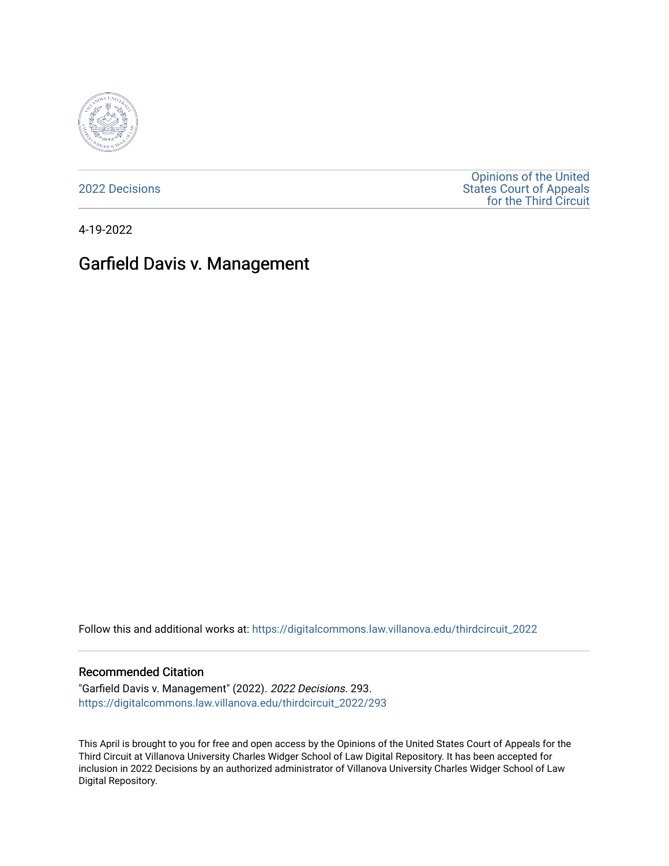

[2022 Decisions](https://digitalcommons.law.villanova.edu/thirdcircuit_2022)

[Opinions of the United](https://digitalcommons.law.villanova.edu/thirdcircuit)  [States Court of Appeals](https://digitalcommons.law.villanova.edu/thirdcircuit)  [for the Third Circuit](https://digitalcommons.law.villanova.edu/thirdcircuit) 

4-19-2022

# Garfield Davis v. Management

Follow this and additional works at: [https://digitalcommons.law.villanova.edu/thirdcircuit\\_2022](https://digitalcommons.law.villanova.edu/thirdcircuit_2022?utm_source=digitalcommons.law.villanova.edu%2Fthirdcircuit_2022%2F293&utm_medium=PDF&utm_campaign=PDFCoverPages) 

#### Recommended Citation

"Garfield Davis v. Management" (2022). 2022 Decisions. 293. [https://digitalcommons.law.villanova.edu/thirdcircuit\\_2022/293](https://digitalcommons.law.villanova.edu/thirdcircuit_2022/293?utm_source=digitalcommons.law.villanova.edu%2Fthirdcircuit_2022%2F293&utm_medium=PDF&utm_campaign=PDFCoverPages)

This April is brought to you for free and open access by the Opinions of the United States Court of Appeals for the Third Circuit at Villanova University Charles Widger School of Law Digital Repository. It has been accepted for inclusion in 2022 Decisions by an authorized administrator of Villanova University Charles Widger School of Law Digital Repository.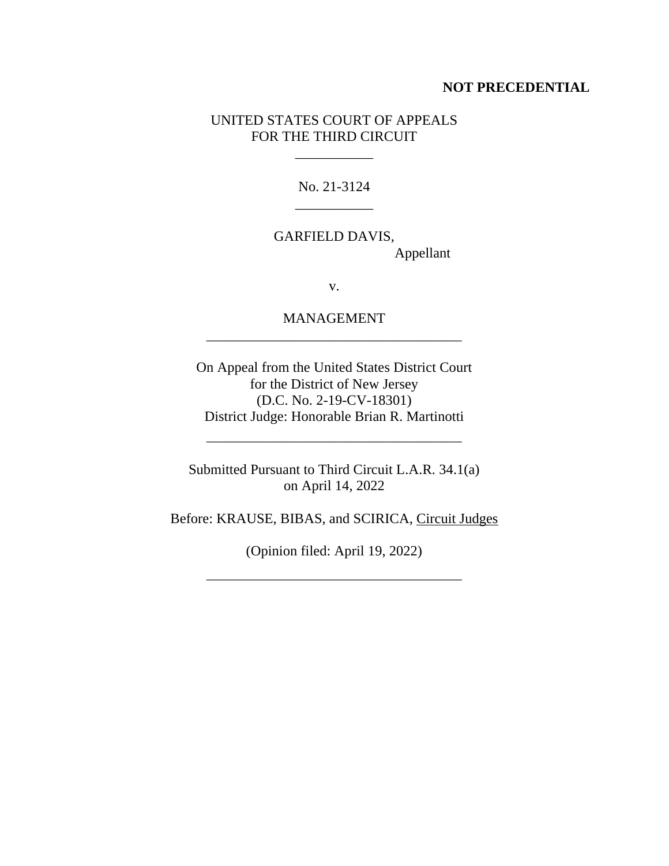#### **NOT PRECEDENTIAL**

### UNITED STATES COURT OF APPEALS FOR THE THIRD CIRCUIT

 $\mathcal{L}_\text{max}$  and  $\mathcal{L}_\text{max}$ 

No. 21-3124 \_\_\_\_\_\_\_\_\_\_\_

GARFIELD DAVIS, Appellant

v.

MANAGEMENT \_\_\_\_\_\_\_\_\_\_\_\_\_\_\_\_\_\_\_\_\_\_\_\_\_\_\_\_\_\_\_\_\_\_\_\_

On Appeal from the United States District Court for the District of New Jersey (D.C. No. 2-19-CV-18301) District Judge: Honorable Brian R. Martinotti

Submitted Pursuant to Third Circuit L.A.R. 34.1(a) on April 14, 2022

\_\_\_\_\_\_\_\_\_\_\_\_\_\_\_\_\_\_\_\_\_\_\_\_\_\_\_\_\_\_\_\_\_\_\_\_

Before: KRAUSE, BIBAS, and SCIRICA, Circuit Judges

(Opinion filed: April 19, 2022)

\_\_\_\_\_\_\_\_\_\_\_\_\_\_\_\_\_\_\_\_\_\_\_\_\_\_\_\_\_\_\_\_\_\_\_\_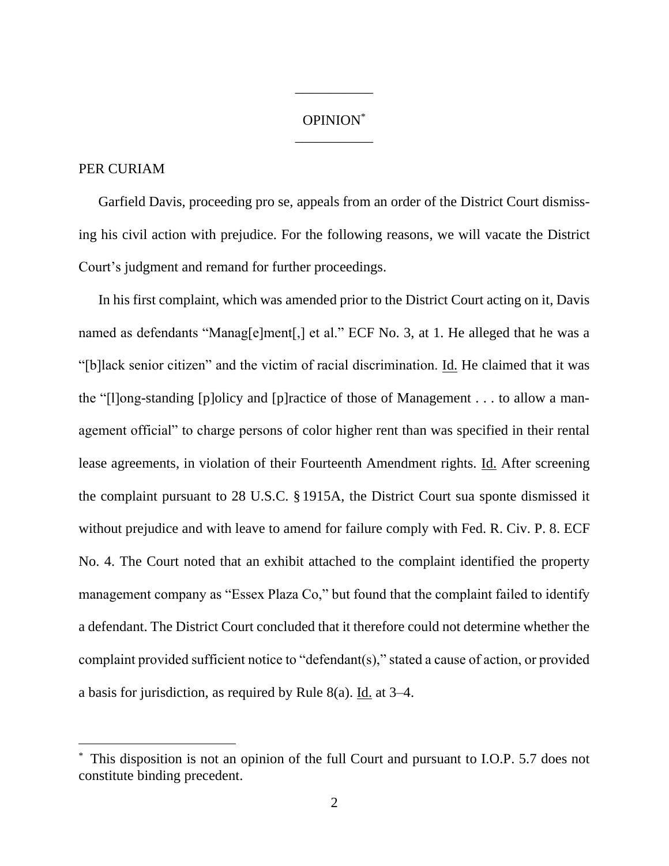## OPINION\* \_\_\_\_\_\_\_\_\_\_\_

\_\_\_\_\_\_\_\_\_\_\_

### PER CURIAM

Garfield Davis, proceeding pro se, appeals from an order of the District Court dismissing his civil action with prejudice. For the following reasons, we will vacate the District Court's judgment and remand for further proceedings.

In his first complaint, which was amended prior to the District Court acting on it, Davis named as defendants "Manag[e]ment[,] et al." ECF No. 3, at 1. He alleged that he was a "[b]lack senior citizen" and the victim of racial discrimination. Id. He claimed that it was the "[l]ong-standing [p]olicy and [p]ractice of those of Management . . . to allow a management official" to charge persons of color higher rent than was specified in their rental lease agreements, in violation of their Fourteenth Amendment rights. Id. After screening the complaint pursuant to 28 U.S.C. § 1915A, the District Court sua sponte dismissed it without prejudice and with leave to amend for failure comply with Fed. R. Civ. P. 8. ECF No. 4. The Court noted that an exhibit attached to the complaint identified the property management company as "Essex Plaza Co," but found that the complaint failed to identify a defendant. The District Court concluded that it therefore could not determine whether the complaint provided sufficient notice to "defendant(s)," stated a cause of action, or provided a basis for jurisdiction, as required by Rule 8(a). Id. at 3–4.

This disposition is not an opinion of the full Court and pursuant to I.O.P. 5.7 does not constitute binding precedent.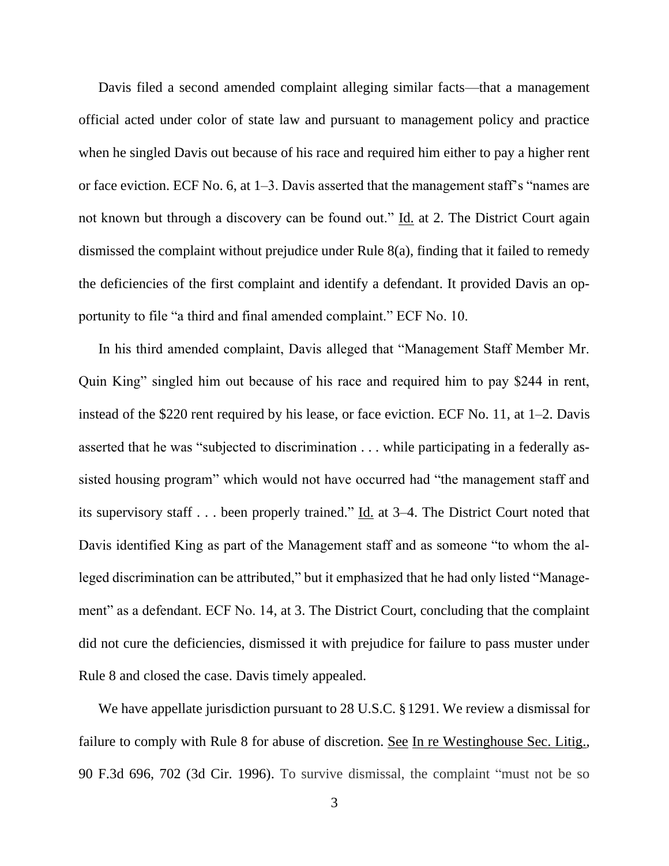Davis filed a second amended complaint alleging similar facts—that a management official acted under color of state law and pursuant to management policy and practice when he singled Davis out because of his race and required him either to pay a higher rent or face eviction. ECF No. 6, at 1–3. Davis asserted that the management staff's "names are not known but through a discovery can be found out." Id. at 2. The District Court again dismissed the complaint without prejudice under Rule 8(a), finding that it failed to remedy the deficiencies of the first complaint and identify a defendant. It provided Davis an opportunity to file "a third and final amended complaint." ECF No. 10.

In his third amended complaint, Davis alleged that "Management Staff Member Mr. Quin King" singled him out because of his race and required him to pay \$244 in rent, instead of the \$220 rent required by his lease, or face eviction. ECF No. 11, at 1–2. Davis asserted that he was "subjected to discrimination . . . while participating in a federally assisted housing program" which would not have occurred had "the management staff and its supervisory staff . . . been properly trained." Id. at 3–4. The District Court noted that Davis identified King as part of the Management staff and as someone "to whom the alleged discrimination can be attributed," but it emphasized that he had only listed "Management" as a defendant. ECF No. 14, at 3. The District Court, concluding that the complaint did not cure the deficiencies, dismissed it with prejudice for failure to pass muster under Rule 8 and closed the case. Davis timely appealed.

We have appellate jurisdiction pursuant to 28 U.S.C. §1291. We review a dismissal for failure to comply with Rule 8 for abuse of discretion. See In re Westinghouse Sec. Litig., 90 F.3d 696, 702 (3d Cir. 1996). To survive dismissal, the complaint "must not be so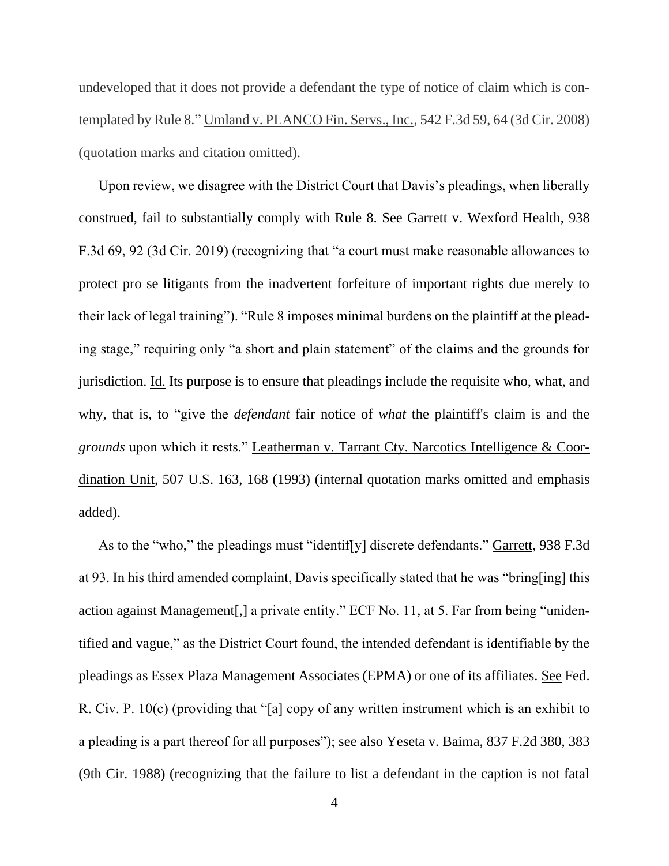undeveloped that it does not provide a defendant the type of notice of claim which is contemplated by Rule 8." Umland v. PLANCO Fin. Servs., Inc., 542 F.3d 59, 64 (3d Cir. 2008) (quotation marks and citation omitted).

Upon review, we disagree with the District Court that Davis's pleadings, when liberally construed, fail to substantially comply with Rule 8. See Garrett v. Wexford Health, 938 F.3d 69, 92 (3d Cir. 2019) (recognizing that "a court must make reasonable allowances to protect pro se litigants from the inadvertent forfeiture of important rights due merely to their lack of legal training"). "Rule 8 imposes minimal burdens on the plaintiff at the pleading stage," requiring only "a short and plain statement" of the claims and the grounds for jurisdiction. Id. Its purpose is to ensure that pleadings include the requisite who, what, and why, that is, to "give the *defendant* fair notice of *what* the plaintiff's claim is and the *grounds* upon which it rests." Leatherman v. Tarrant Cty. Narcotics Intelligence & Coordination Unit, 507 U.S. 163, 168 (1993) (internal quotation marks omitted and emphasis added).

As to the "who," the pleadings must "identif[y] discrete defendants." Garrett, 938 F.3d at 93. In his third amended complaint, Davis specifically stated that he was "bring[ing] this action against Management[,] a private entity." ECF No. 11, at 5. Far from being "unidentified and vague," as the District Court found, the intended defendant is identifiable by the pleadings as Essex Plaza Management Associates (EPMA) or one of its affiliates. See Fed. R. Civ. P. 10(c) (providing that "[a] copy of any written instrument which is an exhibit to a pleading is a part thereof for all purposes"); see also Yeseta v. Baima, 837 F.2d 380, 383 (9th Cir. 1988) (recognizing that the failure to list a defendant in the caption is not fatal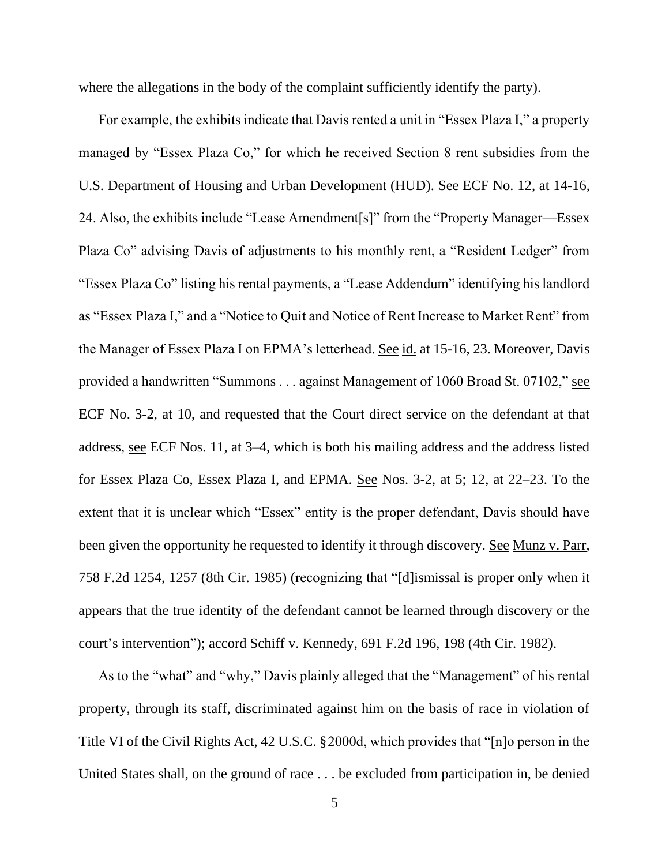where the allegations in the body of the complaint sufficiently identify the party).

For example, the exhibits indicate that Davis rented a unit in "Essex Plaza I," a property managed by "Essex Plaza Co," for which he received Section 8 rent subsidies from the U.S. Department of Housing and Urban Development (HUD). See ECF No. 12, at 14-16, 24. Also, the exhibits include "Lease Amendment[s]" from the "Property Manager—Essex Plaza Co" advising Davis of adjustments to his monthly rent, a "Resident Ledger" from "Essex Plaza Co" listing his rental payments, a "Lease Addendum" identifying his landlord as "Essex Plaza I," and a "Notice to Quit and Notice of Rent Increase to Market Rent" from the Manager of Essex Plaza I on EPMA's letterhead. See id. at 15-16, 23. Moreover, Davis provided a handwritten "Summons . . . against Management of 1060 Broad St. 07102," see ECF No. 3-2, at 10, and requested that the Court direct service on the defendant at that address, see ECF Nos. 11, at 3–4, which is both his mailing address and the address listed for Essex Plaza Co, Essex Plaza I, and EPMA. See Nos. 3-2, at 5; 12, at 22–23. To the extent that it is unclear which "Essex" entity is the proper defendant, Davis should have been given the opportunity he requested to identify it through discovery. See Munz v. Parr, 758 F.2d 1254, 1257 (8th Cir. 1985) (recognizing that "[d]ismissal is proper only when it appears that the true identity of the defendant cannot be learned through discovery or the court's intervention"); accord Schiff v. Kennedy, 691 F.2d 196, 198 (4th Cir. 1982).

As to the "what" and "why," Davis plainly alleged that the "Management" of his rental property, through its staff, discriminated against him on the basis of race in violation of Title VI of the Civil Rights Act, 42 U.S.C. §2000d, which provides that "[n]o person in the United States shall, on the ground of race . . . be excluded from participation in, be denied